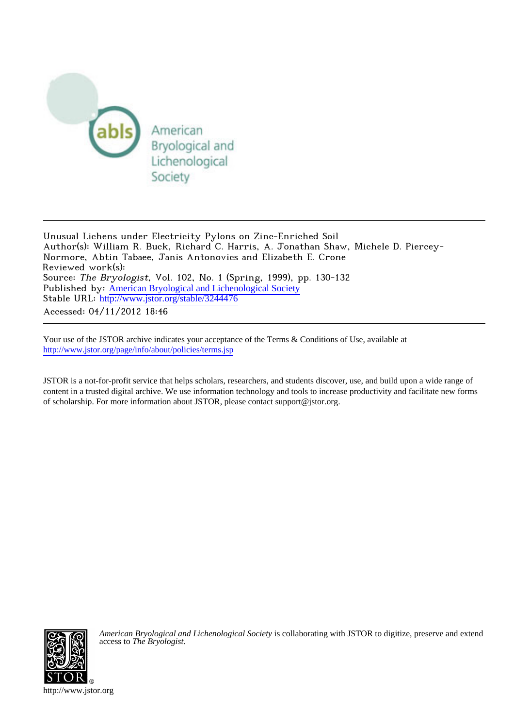

Unusual Lichens under Electricity Pylons on Zinc-Enriched Soil Author(s): William R. Buck, Richard C. Harris, A. Jonathan Shaw, Michele D. Piercey-Normore, Abtin Tabaee, Janis Antonovics and Elizabeth E. Crone Reviewed work(s): Source: The Bryologist, Vol. 102, No. 1 (Spring, 1999), pp. 130-132 Published by: [American Bryological and Lichenological Society](http://www.jstor.org/action/showPublisher?publisherCode=abls) Stable URL: [http://www.jstor.org/stable/3244476](http://www.jstor.org/stable/3244476?origin=JSTOR-pdf) Accessed: 04/11/2012 18:46

Your use of the JSTOR archive indicates your acceptance of the Terms & Conditions of Use, available at <http://www.jstor.org/page/info/about/policies/terms.jsp>

JSTOR is a not-for-profit service that helps scholars, researchers, and students discover, use, and build upon a wide range of content in a trusted digital archive. We use information technology and tools to increase productivity and facilitate new forms of scholarship. For more information about JSTOR, please contact support@jstor.org.



*American Bryological and Lichenological Society* is collaborating with JSTOR to digitize, preserve and extend access to *The Bryologist.*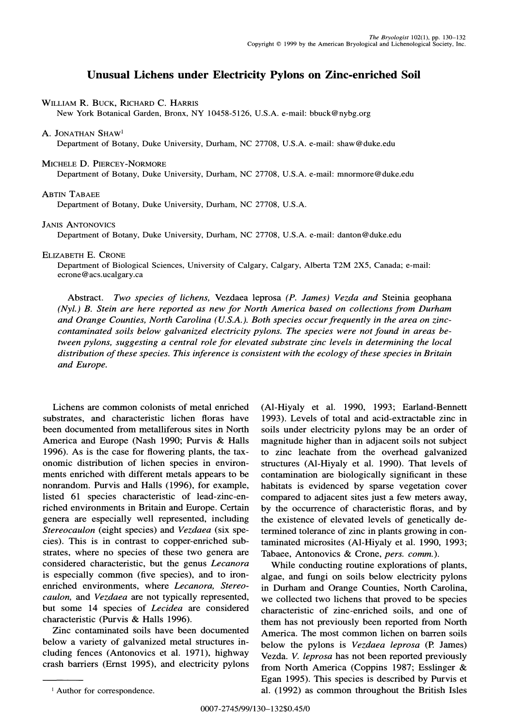# **Unusual Lichens under Electricity Pylons on Zinc-enriched Soil**

## **WILLIAM R. BUCK, RICHARD C. HARRIS**

**New York Botanical Garden, Bronx, NY 10458-5126, U.S.A. e-mail: bbuck@nybg.org** 

### **A. JONATHAN SHAW1**

**Department of Botany, Duke University, Durham, NC 27708, U.S.A. e-mail: shaw@duke.edu** 

### **MICHELE D. PIERCEY-NORMORE**

**Department of Botany, Duke University, Durham, NC 27708, U.S.A. e-mail: mnormore@duke.edu** 

## **ABTIN TABAEE**

**Department of Botany, Duke University, Durham, NC 27708, U.S.A.** 

## **JANIS ANTONOVICS**

**Department of Botany, Duke University, Durham, NC 27708, U.S.A. e-mail: danton@duke.edu** 

## **ELIZABETH E. CRONE**

**Department of Biological Sciences, University of Calgary, Calgary, Alberta T2M 2X5, Canada; e-mail: ecrone@acs.ucalgary.ca** 

**Abstract. Two species of lichens, Vezdaea leprosa (P. James) Vezda and Steinia geophana (Nyl.) B. Stein are here reported as new for North America based on collections from Durham and Orange Counties, North Carolina (U.S.A.). Both species occur frequently in the area on zinccontaminated soils below galvanized electricity pylons. The species were not found in areas between pylons, suggesting a central role for elevated substrate zinc levels in determining the local distribution of these species. This inference is consistent with the ecology of these species in Britain and Europe.** 

**Lichens are common colonists of metal enriched substrates, and characteristic lichen floras have been documented from metalliferous sites in North America and Europe (Nash 1990; Purvis & Halls 1996). As is the case for flowering plants, the taxonomic distribution of lichen species in environments enriched with different metals appears to be nonrandom. Purvis and Halls (1996), for example, listed 61 species characteristic of lead-zinc-enriched environments in Britain and Europe. Certain genera are especially well represented, including Stereocaulon (eight species) and Vezdaea (six species). This is in contrast to copper-enriched substrates, where no species of these two genera are considered characteristic, but the genus Lecanora is especially common (five species), and to ironenriched environments, where Lecanora, Stereocaulon, and Vezdaea are not typically represented, but some 14 species of Lecidea are considered characteristic (Purvis & Halls 1996).** 

**Zinc contaminated soils have been documented below a variety of galvanized metal structures including fences (Antonovics et al. 1971), highway crash barriers (Ernst 1995), and electricity pylons** 

**(Al-Hiyaly et al. 1990, 1993; Earland-Bennett 1993). Levels of total and acid-extractable zinc in soils under electricity pylons may be an order of magnitude higher than in adjacent soils not subject to zinc leachate from the overhead galvanized structures (Al-Hiyaly et al. 1990). That levels of contamination are biologically significant in these habitats is evidenced by sparse vegetation cover compared to adjacent sites just a few meters away, by the occurrence of characteristic floras, and by the existence of elevated levels of genetically determined tolerance of zinc in plants growing in contaminated microsites (Al-Hiyaly et al. 1990, 1993; Tabaee, Antonovics & Crone, pers. comm.).** 

**While conducting routine explorations of plants, algae, and fungi on soils below electricity pylons in Durham and Orange Counties, North Carolina, we collected two lichens that proved to be species characteristic of zinc-enriched soils, and one of them has not previously been reported from North America. The most common lichen on barren soils below the pylons is Vezdaea leprosa (P. James) Vezda. V. leprosa has not been reported previously from North America (Coppins 1987; Esslinger & Egan 1995). This species is described by Purvis et al. (1992) as common throughout the British Isles 1 Author for correspondence.**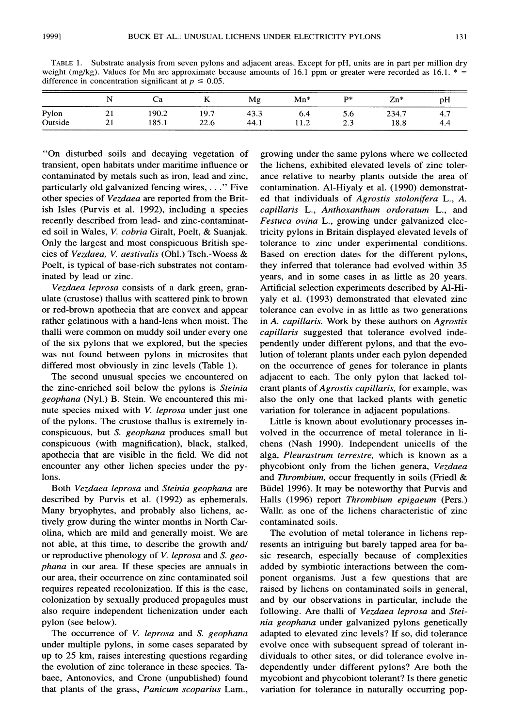**TABLE 1. Substrate analysis from seven pylons and adjacent areas. Except for pH, units are in part per million dry**  weight (mg/kg). Values for Mn are approximate because amounts of 16.1 ppm or greater were recorded as 16.1.  $* =$ difference in concentration significant at  $p \leq 0.05$ .

|         |    | Cа    |      | Mg   | $Mn*$ | $\mathbf{p}$ | $Zn*$ | pH  |
|---------|----|-------|------|------|-------|--------------|-------|-----|
| Pylon   | 21 | 190.2 | 19.7 | 43.3 | 6.4   | 5.6          | 234.7 | 4.7 |
| Outside | 21 | 185.1 | 22.6 | 44.1 | 11.2  | 2.3          | 18.8  | 4.4 |

**"On disturbed soils and decaying vegetation of transient, open habitats under maritime influence or contaminated by metals such as iron, lead and zinc, particularly old galvanized fencing wires,...." Five other species of Vezdaea are reported from the British Isles (Purvis et al. 1992), including a species recently described from lead- and zinc-contaminated soil in Wales, V. cobria Giralt, Poelt, & Suanjak. Only the largest and most conspicuous British species of Vezdaea, V. aestivalis (Ohl.) Tsch.-Woess & Poelt, is typical of base-rich substrates not contaminated by lead or zinc.** 

**Vezdaea leprosa consists of a dark green, granulate (crustose) thallus with scattered pink to brown or red-brown apothecia that are convex and appear rather gelatinous with a hand-lens when moist. The thalli were common on muddy soil under every one of the six pylons that we explored, but the species was not found between pylons in microsites that differed most obviously in zinc levels (Table 1).** 

**The second unusual species we encountered on the zinc-enriched soil below the pylons is Steinia geophana (Nyl.) B. Stein. We encountered this minute species mixed with V. leprosa under just one of the pylons. The crustose thallus is extremely inconspicuous, but S. geophana produces small but conspicuous (with magnification), black, stalked, apothecia that are visible in the field. We did not encounter any other lichen species under the pylons.** 

**Both Vezdaea leprosa and Steinia geophana are described by Purvis et al. (1992) as ephemerals. Many bryophytes, and probably also lichens, actively grow during the winter months in North Carolina, which are mild and generally moist. We are not able, at this time, to describe the growth and/ or reproductive phenology of V. leprosa and S. geophana in our area. If these species are annuals in our area, their occurrence on zinc contaminated soil requires repeated recolonization. If this is the case, colonization by sexually produced propagules must also require independent lichenization under each pylon (see below).** 

**The occurrence of V. leprosa and S. geophana under multiple pylons, in some cases separated by up to 25 km, raises interesting questions regarding the evolution of zinc tolerance in these species. Tabaee, Antonovics, and Crone (unpublished) found that plants of the grass, Panicum scoparius Lam.,**  **growing under the same pylons where we collected the lichens, exhibited elevated levels of zinc tolerance relative to nearby plants outside the area of contamination. Al-Hiyaly et al. (1990) demonstrated that individuals of Agrostis stolonifera L., A. capillaris L., Anthoxanthum ordoratum L., and Festuca ovina L., growing under galvanized electricity pylons in Britain displayed elevated levels of tolerance to zinc under experimental conditions. Based on erection dates for the different pylons, they inferred that tolerance had evolved within 35 years, and in some cases in as little as 20 years. Artificial selection experiments described by Al-Hiyaly et al. (1993) demonstrated that elevated zinc tolerance can evolve in as little as two generations in A. capillaris. Work by these authors on Agrostis capillaris suggested that tolerance evolved independently under different pylons, and that the evolution of tolerant plants under each pylon depended on the occurrence of genes for tolerance in plants adjacent to each. The only pylon that lacked tolerant plants of Agrostis capillaris, for example, was also the only one that lacked plants with genetic variation for tolerance in adjacent populations.** 

**Little is known about evolutionary processes involved in the occurrence of metal tolerance in lichens (Nash 1990). Independent unicells of the alga, Pleurastrum terrestre, which is known as a phycobiont only from the lichen genera, Vezdaea and Thrombium, occur frequently in soils (Friedl & Biidel 1996). It may be noteworthy that Purvis and Halls (1996) report Thrombium epigaeum (Pers.) Wallr. as one of the lichens characteristic of zinc contaminated soils.** 

**The evolution of metal tolerance in lichens represents an intriguing but barely tapped area for basic research, especially because of complexities added by symbiotic interactions between the component organisms. Just a few questions that are raised by lichens on contaminated soils in general, and by our observations in particular, include the following. Are thalli of Vezdaea leprosa and Steinia geophana under galvanized pylons genetically adapted to elevated zinc levels? If so, did tolerance evolve once with subsequent spread of tolerant individuals to other sites, or did tolerance evolve independently under different pylons? Are both the mycobiont and phycobiont tolerant? Is there genetic variation for tolerance in naturally occurring pop-**